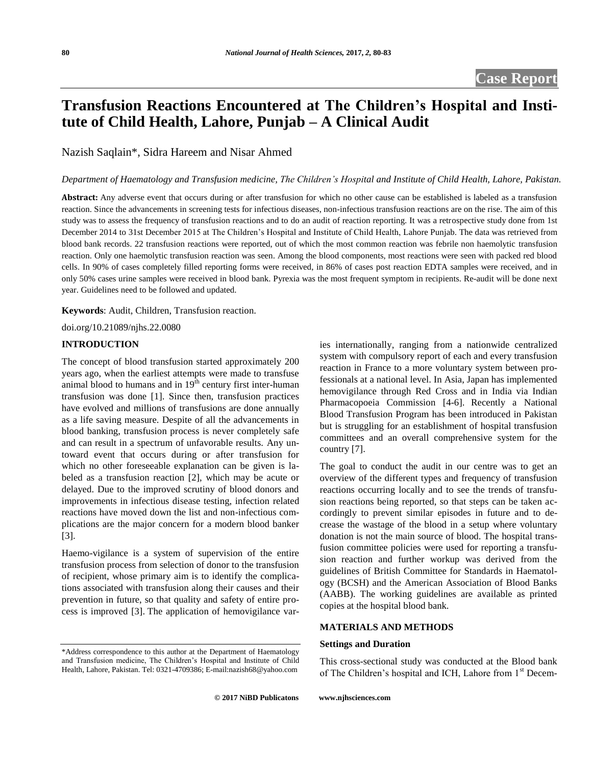# **Transfusion Reactions Encountered at The Children's Hospital and Institute of Child Health, Lahore, Punjab – A Clinical Audit**

Nazish Saqlain\*, Sidra Hareem and Nisar Ahmed

# *Department of Haematology and Transfusion medicine, The Children's Hospital and Institute of Child Health, Lahore, Pakistan.*

**Abstract:** Any adverse event that occurs during or after transfusion for which no other cause can be established is labeled as a transfusion reaction. Since the advancements in screening tests for infectious diseases, non-infectious transfusion reactions are on the rise. The aim of this study was to assess the frequency of transfusion reactions and to do an audit of reaction reporting. It was a retrospective study done from 1st December 2014 to 31st December 2015 at The Children's Hospital and Institute of Child Health, Lahore Punjab. The data was retrieved from blood bank records. 22 transfusion reactions were reported, out of which the most common reaction was febrile non haemolytic transfusion reaction. Only one haemolytic transfusion reaction was seen. Among the blood components, most reactions were seen with packed red blood cells. In 90% of cases completely filled reporting forms were received, in 86% of cases post reaction EDTA samples were received, and in only 50% cases urine samples were received in blood bank. Pyrexia was the most frequent symptom in recipients. Re-audit will be done next year. Guidelines need to be followed and updated.

**Keywords**: Audit, Children, Transfusion reaction.

doi.org/10.21089/njhs.22.0080

#### **INTRODUCTION**

The concept of blood transfusion started approximately 200 years ago, when the earliest attempts were made to transfuse animal blood to humans and in  $19<sup>th</sup>$  century first inter-human transfusion was done [1]. Since then, transfusion practices have evolved and millions of transfusions are done annually as a life saving measure. Despite of all the advancements in blood banking, transfusion process is never completely safe and can result in a spectrum of unfavorable results. Any untoward event that occurs during or after transfusion for which no other foreseeable explanation can be given is labeled as a transfusion reaction [2], which may be acute or delayed. Due to the improved scrutiny of blood donors and improvements in infectious disease testing, infection related reactions have moved down the list and non-infectious complications are the major concern for a modern blood banker [3].

Haemo-vigilance is a system of supervision of the entire transfusion process from selection of donor to the transfusion of recipient, whose primary aim is to identify the complications associated with transfusion along their causes and their prevention in future, so that quality and safety of entire process is improved [3]. The application of hemovigilance varies internationally, ranging from a nationwide centralized system with compulsory report of each and every transfusion reaction in France to a more voluntary system between professionals at a national level. In Asia, Japan has implemented hemovigilance through Red Cross and in India via Indian Pharmacopoeia Commission [4-6]. Recently a National Blood Transfusion Program has been introduced in Pakistan but is struggling for an establishment of hospital transfusion committees and an overall comprehensive system for the country [7].

The goal to conduct the audit in our centre was to get an overview of the different types and frequency of transfusion reactions occurring locally and to see the trends of transfusion reactions being reported, so that steps can be taken accordingly to prevent similar episodes in future and to decrease the wastage of the blood in a setup where voluntary donation is not the main source of blood. The hospital transfusion committee policies were used for reporting a transfusion reaction and further workup was derived from the guidelines of British Committee for Standards in Haematology (BCSH) and the American Association of Blood Banks (AABB). The working guidelines are available as printed copies at the hospital blood bank.

# **MATERIALS AND METHODS**

#### **Settings and Duration**

This cross-sectional study was conducted at the Blood bank of The Children's hospital and ICH, Lahore from 1<sup>st</sup> Decem-

<sup>\*</sup>Address correspondence to this author at the Department of Haematology and Transfusion medicine, The Children's Hospital and Institute of Child Health, Lahore, Pakistan. Tel: 0321-4709386; E-mail:nazish68@yahoo.com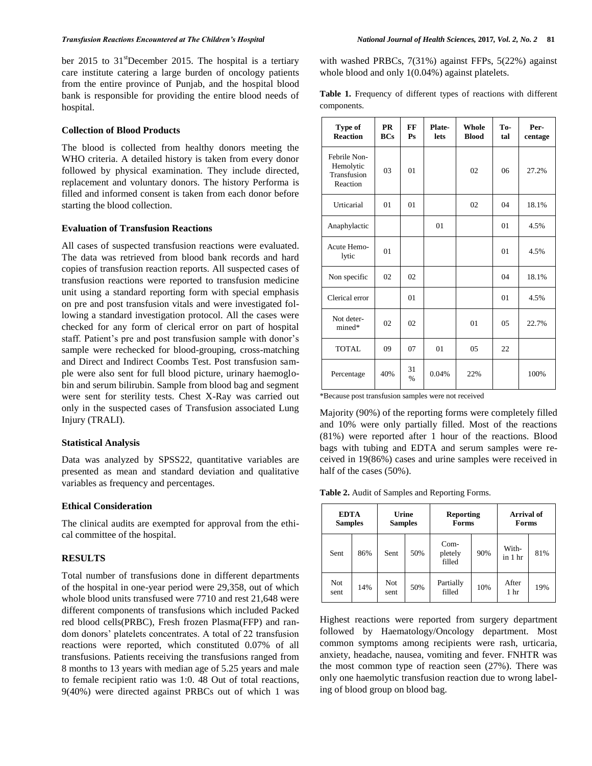ber 2015 to  $31^{\text{st}}$ December 2015. The hospital is a tertiary care institute catering a large burden of oncology patients from the entire province of Punjab, and the hospital blood bank is responsible for providing the entire blood needs of hospital.

# **Collection of Blood Products**

The blood is collected from healthy donors meeting the WHO criteria. A detailed history is taken from every donor followed by physical examination. They include directed, replacement and voluntary donors. The history Performa is filled and informed consent is taken from each donor before starting the blood collection.

# **Evaluation of Transfusion Reactions**

All cases of suspected transfusion reactions were evaluated. The data was retrieved from blood bank records and hard copies of transfusion reaction reports. All suspected cases of transfusion reactions were reported to transfusion medicine unit using a standard reporting form with special emphasis on pre and post transfusion vitals and were investigated following a standard investigation protocol. All the cases were checked for any form of clerical error on part of hospital staff. Patient's pre and post transfusion sample with donor's sample were rechecked for blood-grouping, cross-matching and Direct and Indirect Coombs Test. Post transfusion sample were also sent for full blood picture, urinary haemoglobin and serum bilirubin. Sample from blood bag and segment were sent for sterility tests. Chest X-Ray was carried out only in the suspected cases of Transfusion associated Lung Injury (TRALI).

### **Statistical Analysis**

Data was analyzed by SPSS22, quantitative variables are presented as mean and standard deviation and qualitative variables as frequency and percentages.

# **Ethical Consideration**

The clinical audits are exempted for approval from the ethical committee of the hospital.

# **RESULTS**

Total number of transfusions done in different departments of the hospital in one-year period were 29,358, out of which whole blood units transfused were 7710 and rest 21,648 were different components of transfusions which included Packed red blood cells(PRBC), Fresh frozen Plasma(FFP) and random donors' platelets concentrates. A total of 22 transfusion reactions were reported, which constituted 0.07% of all transfusions. Patients receiving the transfusions ranged from 8 months to 13 years with median age of 5.25 years and male to female recipient ratio was 1:0. 48 Out of total reactions, 9(40%) were directed against PRBCs out of which 1 was with washed PRBCs, 7(31%) against FFPs, 5(22%) against whole blood and only  $1(0.04\%)$  against platelets.

**Table 1.** Frequency of different types of reactions with different components.

| Type of<br><b>Reaction</b>                           | <b>PR</b><br><b>BCs</b> | FF<br>P <sub>S</sub> | Plate-<br>lets | <b>Whole</b><br><b>Blood</b> | To-<br>tal    | Per-<br>centage |
|------------------------------------------------------|-------------------------|----------------------|----------------|------------------------------|---------------|-----------------|
| Febrile Non-<br>Hemolytic<br>Transfusion<br>Reaction | 03                      | 01                   |                | 02                           | 06            | 27.2%           |
| Urticarial                                           | 01                      | 01                   |                | 02                           | 04            | 18.1%           |
| Anaphylactic                                         |                         |                      | 01             |                              | 01            | 4.5%            |
| Acute Hemo-<br>lytic                                 | 01                      |                      |                |                              | 01            | 4.5%            |
| Non specific                                         | 02                      | 02                   |                |                              | 04            | 18.1%           |
| Clerical error                                       |                         | 01                   |                |                              | 01            | 4.5%            |
| Not deter-<br>mined*                                 | 02                      | 02                   |                | 01                           | $0.5^{\circ}$ | 22.7%           |
| <b>TOTAL</b>                                         | 09                      | 07                   | 01             | 05                           | 22            |                 |
| Percentage                                           | 40%                     | 31<br>$\frac{0}{6}$  | 0.04%          | 22%                          |               | 100%            |

\*Because post transfusion samples were not received

Majority (90%) of the reporting forms were completely filled and 10% were only partially filled. Most of the reactions (81%) were reported after 1 hour of the reactions. Blood bags with tubing and EDTA and serum samples were received in 19(86%) cases and urine samples were received in half of the cases (50%).

**Table 2.** Audit of Samples and Reporting Forms.

| <b>EDTA</b><br><b>Samples</b> |     | Urine<br><b>Samples</b> |     | <b>Reporting</b><br><b>Forms</b> |     | <b>Arrival of</b><br><b>Forms</b> |     |
|-------------------------------|-----|-------------------------|-----|----------------------------------|-----|-----------------------------------|-----|
| Sent                          | 86% | Sent                    | 50% | $Com-$<br>pletely<br>filled      | 90% | With-<br>in 1 hr                  | 81% |
| Not<br>sent                   | 14% | Not<br>sent             | 50% | Partially<br>filled              | 10% | After<br>1 <sub>hr</sub>          | 19% |

Highest reactions were reported from surgery department followed by Haematology/Oncology department. Most common symptoms among recipients were rash, urticaria, anxiety, headache, nausea, vomiting and fever. FNHTR was the most common type of reaction seen (27%). There was only one haemolytic transfusion reaction due to wrong labeling of blood group on blood bag.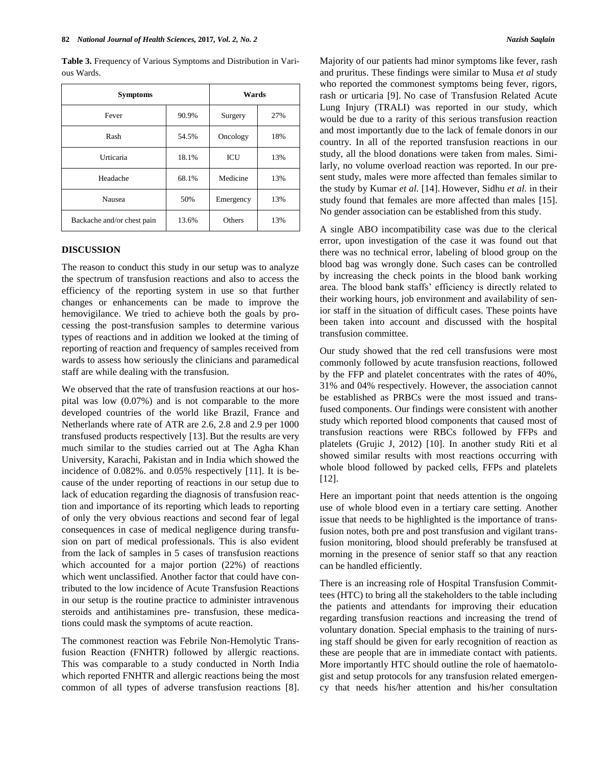**Table 3.** Frequency of Various Symptoms and Distribution in Various Wards.

| <b>Symptoms</b>            | Wards |           |     |
|----------------------------|-------|-----------|-----|
| Fever                      | 90.9% | Surgery   | 27% |
| Rash                       | 54.5% | Oncology  | 18% |
| Urticaria                  | 18.1% | ICU       | 13% |
| Headache                   | 68.1% | Medicine  | 13% |
| Nausea                     | 50%   | Emergency | 13% |
| Backache and/or chest pain | 13.6% | Others    | 13% |

# **DISCUSSION**

The reason to conduct this study in our setup was to analyze the spectrum of transfusion reactions and also to access the efficiency of the reporting system in use so that further changes or enhancements can be made to improve the hemovigilance. We tried to achieve both the goals by processing the post-transfusion samples to determine various types of reactions and in addition we looked at the timing of reporting of reaction and frequency of samples received from wards to assess how seriously the clinicians and paramedical staff are while dealing with the transfusion.

We observed that the rate of transfusion reactions at our hospital was low (0.07%) and is not comparable to the more developed countries of the world like Brazil, France and Netherlands where rate of ATR are 2.6, 2.8 and 2.9 per 1000 transfused products respectively [13]. But the results are very much similar to the studies carried out at The Agha Khan University, Karachi, Pakistan and in India which showed the incidence of 0.082%. and 0.05% respectively [11]. It is because of the under reporting of reactions in our setup due to lack of education regarding the diagnosis of transfusion reaction and importance of its reporting which leads to reporting of only the very obvious reactions and second fear of legal consequences in case of medical negligence during transfusion on part of medical professionals. This is also evident from the lack of samples in 5 cases of transfusion reactions which accounted for a major portion (22%) of reactions which went unclassified. Another factor that could have contributed to the low incidence of Acute Transfusion Reactions in our setup is the routine practice to administer intravenous steroids and antihistamines pre- transfusion, these medications could mask the symptoms of acute reaction.

The commonest reaction was Febrile Non-Hemolytic Transfusion Reaction (FNHTR) followed by allergic reactions. This was comparable to a study conducted in North India which reported FNHTR and allergic reactions being the most common of all types of adverse transfusion reactions [8]. Majority of our patients had minor symptoms like fever, rash and pruritus. These findings were similar to Musa *et al* study who reported the commonest symptoms being fever, rigors, rash or urticaria [9]. No case of Transfusion Related Acute Lung Injury (TRALI) was reported in our study, which would be due to a rarity of this serious transfusion reaction and most importantly due to the lack of female donors in our country. In all of the reported transfusion reactions in our study, all the blood donations were taken from males. Similarly, no volume overload reaction was reported. In our present study, males were more affected than females similar to the study by Kumar *et al.* [14]. However, Sidhu *et al.* in their study found that females are more affected than males [15]. No gender association can be established from this study.

A single ABO incompatibility case was due to the clerical error, upon investigation of the case it was found out that there was no technical error, labeling of blood group on the blood bag was wrongly done. Such cases can be controlled by increasing the check points in the blood bank working area. The blood bank staffs' efficiency is directly related to their working hours, job environment and availability of senior staff in the situation of difficult cases. These points have been taken into account and discussed with the hospital transfusion committee.

Our study showed that the red cell transfusions were most commonly followed by acute transfusion reactions, followed by the FFP and platelet concentrates with the rates of 40%, 31% and 04% respectively. However, the association cannot be established as PRBCs were the most issued and transfused components. Our findings were consistent with another study which reported blood components that caused most of transfusion reactions were RBCs followed by FFPs and platelets (Grujic J, 2012) [10]. In another study Riti et al showed similar results with most reactions occurring with whole blood followed by packed cells, FFPs and platelets [12].

Here an important point that needs attention is the ongoing use of whole blood even in a tertiary care setting. Another issue that needs to be highlighted is the importance of transfusion notes, both pre and post transfusion and vigilant transfusion monitoring, blood should preferably be transfused at morning in the presence of senior staff so that any reaction can be handled efficiently.

There is an increasing role of Hospital Transfusion Committees (HTC) to bring all the stakeholders to the table including the patients and attendants for improving their education regarding transfusion reactions and increasing the trend of voluntary donation. Special emphasis to the training of nursing staff should be given for early recognition of reaction as these are people that are in immediate contact with patients. More importantly HTC should outline the role of haematologist and setup protocols for any transfusion related emergency that needs his/her attention and his/her consultation